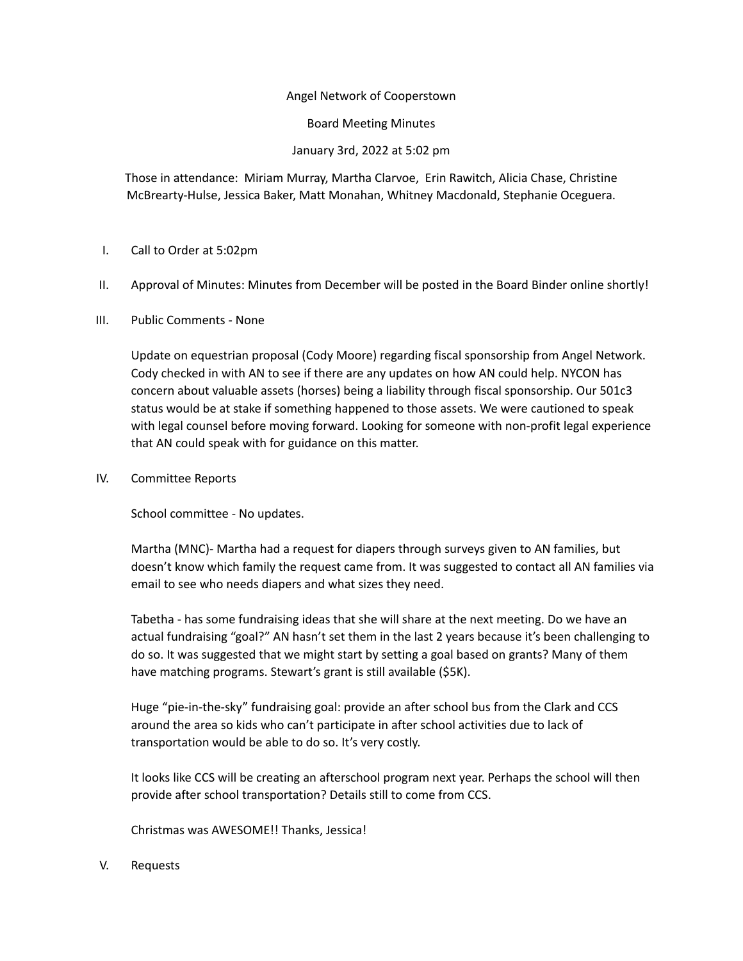## Angel Network of Cooperstown

Board Meeting Minutes

January 3rd, 2022 at 5:02 pm

Those in attendance: Miriam Murray, Martha Clarvoe, Erin Rawitch, Alicia Chase, Christine McBrearty-Hulse, Jessica Baker, Matt Monahan, Whitney Macdonald, Stephanie Oceguera.

## I. Call to Order at 5:02pm

- II. Approval of Minutes: Minutes from December will be posted in the Board Binder online shortly!
- III. Public Comments None

Update on equestrian proposal (Cody Moore) regarding fiscal sponsorship from Angel Network. Cody checked in with AN to see if there are any updates on how AN could help. NYCON has concern about valuable assets (horses) being a liability through fiscal sponsorship. Our 501c3 status would be at stake if something happened to those assets. We were cautioned to speak with legal counsel before moving forward. Looking for someone with non-profit legal experience that AN could speak with for guidance on this matter.

IV. Committee Reports

School committee - No updates.

Martha (MNC)- Martha had a request for diapers through surveys given to AN families, but doesn't know which family the request came from. It was suggested to contact all AN families via email to see who needs diapers and what sizes they need.

Tabetha - has some fundraising ideas that she will share at the next meeting. Do we have an actual fundraising "goal?" AN hasn't set them in the last 2 years because it's been challenging to do so. It was suggested that we might start by setting a goal based on grants? Many of them have matching programs. Stewart's grant is still available (\$5K).

Huge "pie-in-the-sky" fundraising goal: provide an after school bus from the Clark and CCS around the area so kids who can't participate in after school activities due to lack of transportation would be able to do so. It's very costly.

It looks like CCS will be creating an afterschool program next year. Perhaps the school will then provide after school transportation? Details still to come from CCS.

Christmas was AWESOME!! Thanks, Jessica!

V. Requests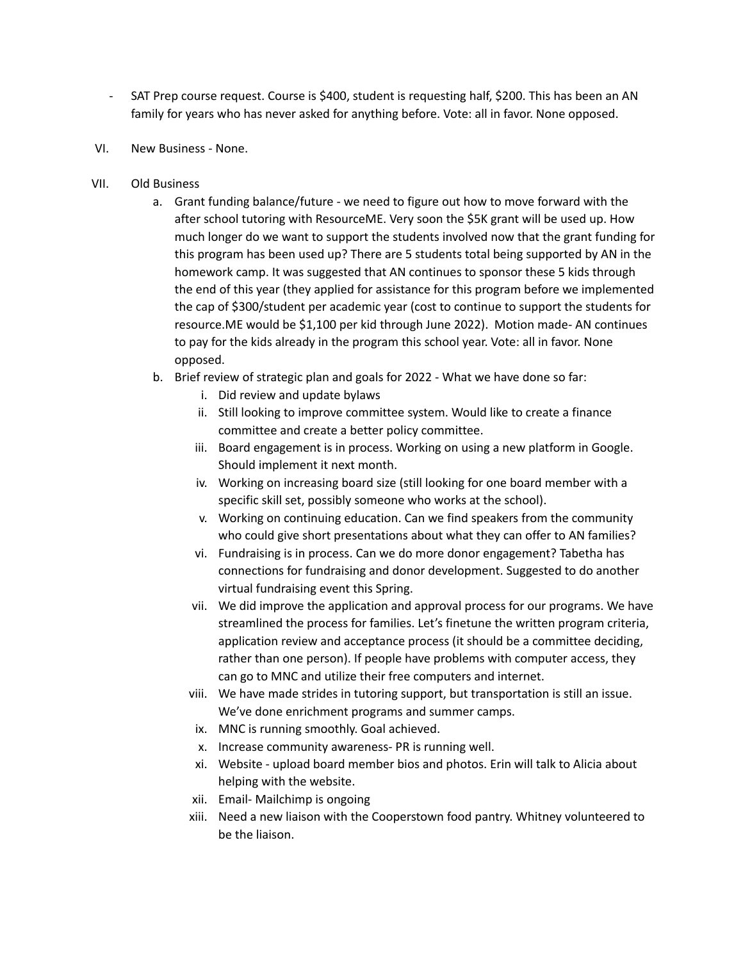- SAT Prep course request. Course is \$400, student is requesting half, \$200. This has been an AN family for years who has never asked for anything before. Vote: all in favor. None opposed.
- VI. New Business None.
- VII. Old Business
	- a. Grant funding balance/future we need to figure out how to move forward with the after school tutoring with ResourceME. Very soon the \$5K grant will be used up. How much longer do we want to support the students involved now that the grant funding for this program has been used up? There are 5 students total being supported by AN in the homework camp. It was suggested that AN continues to sponsor these 5 kids through the end of this year (they applied for assistance for this program before we implemented the cap of \$300/student per academic year (cost to continue to support the students for resource.ME would be \$1,100 per kid through June 2022). Motion made- AN continues to pay for the kids already in the program this school year. Vote: all in favor. None opposed.
	- b. Brief review of strategic plan and goals for 2022 What we have done so far:
		- i. Did review and update bylaws
		- ii. Still looking to improve committee system. Would like to create a finance committee and create a better policy committee.
		- iii. Board engagement is in process. Working on using a new platform in Google. Should implement it next month.
		- iv. Working on increasing board size (still looking for one board member with a specific skill set, possibly someone who works at the school).
		- v. Working on continuing education. Can we find speakers from the community who could give short presentations about what they can offer to AN families?
		- vi. Fundraising is in process. Can we do more donor engagement? Tabetha has connections for fundraising and donor development. Suggested to do another virtual fundraising event this Spring.
		- vii. We did improve the application and approval process for our programs. We have streamlined the process for families. Let's finetune the written program criteria, application review and acceptance process (it should be a committee deciding, rather than one person). If people have problems with computer access, they can go to MNC and utilize their free computers and internet.
		- viii. We have made strides in tutoring support, but transportation is still an issue. We've done enrichment programs and summer camps.
		- ix. MNC is running smoothly. Goal achieved.
		- x. Increase community awareness- PR is running well.
		- xi. Website upload board member bios and photos. Erin will talk to Alicia about helping with the website.
		- xii. Email- Mailchimp is ongoing
		- xiii. Need a new liaison with the Cooperstown food pantry. Whitney volunteered to be the liaison.